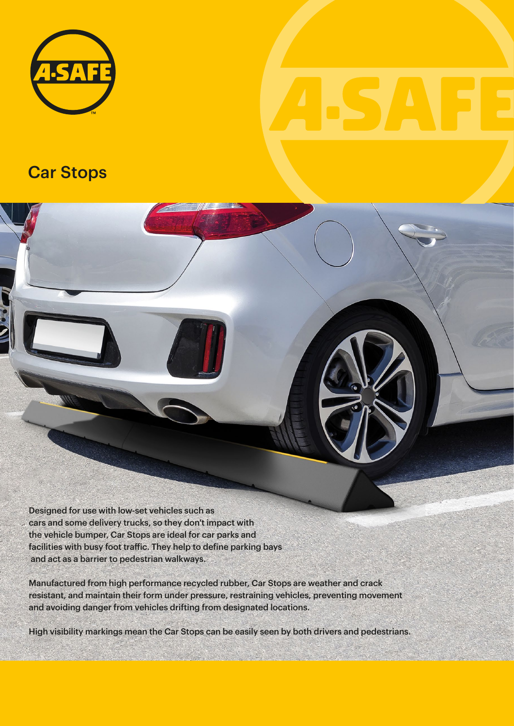

## Car Stops



Manufactured from high performance recycled rubber, Car Stops are weather and crack resistant, and maintain their form under pressure, restraining vehicles, preventing movement and avoiding danger from vehicles drifting from designated locations.

High visibility markings mean the Car Stops can be easily seen by both drivers and pedestrians.